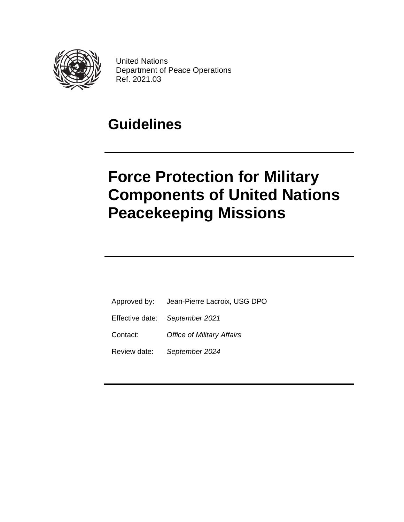

United Nations Department of Peace Operations Ref. 2021.03

## **Guidelines**

# **Force Protection for Military Components of United Nations Peacekeeping Missions**

- Approved by: Jean-Pierre Lacroix, USG DPO
- Effective date: *September 2021*
- Contact: *Office of Military Affairs*
- Review date: *September 2024*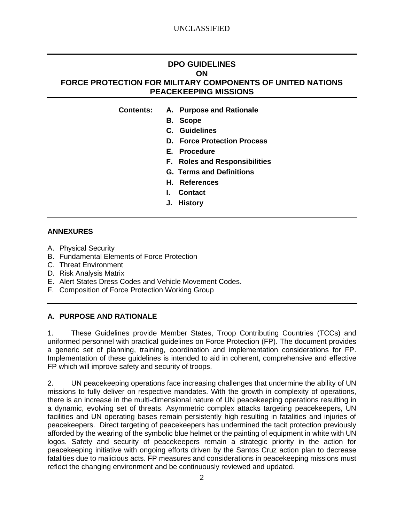## **DPO GUIDELINES ON FORCE PROTECTION FOR MILITARY COMPONENTS OF UNITED NATIONS PEACEKEEPING MISSIONS**

- **Contents: A. Purpose and Rationale**
	- **B. Scope**
	- **C. Guidelines**
	- **D. Force Protection Process**
	- **E. Procedure**
	- **F. Roles and Responsibilities**
	- **G. Terms and Definitions**
	- **H. References**
	- **I. Contact**
	- **J. History**

#### **ANNEXURES**

- A. Physical Security
- B. Fundamental Elements of Force Protection
- C. Threat Environment
- D. Risk Analysis Matrix
- E. Alert States Dress Codes and Vehicle Movement Codes.
- F. Composition of Force Protection Working Group

#### **A. PURPOSE AND RATIONALE**

1. These Guidelines provide Member States, Troop Contributing Countries (TCCs) and uniformed personnel with practical guidelines on Force Protection (FP). The document provides a generic set of planning, training, coordination and implementation considerations for FP. Implementation of these guidelines is intended to aid in coherent, comprehensive and effective FP which will improve safety and security of troops.

2. UN peacekeeping operations face increasing challenges that undermine the ability of UN missions to fully deliver on respective mandates. With the growth in complexity of operations, there is an increase in the multi-dimensional nature of UN peacekeeping operations resulting in a dynamic, evolving set of threats. Asymmetric complex attacks targeting peacekeepers, UN facilities and UN operating bases remain persistently high resulting in fatalities and injuries of peacekeepers. Direct targeting of peacekeepers has undermined the tacit protection previously afforded by the wearing of the symbolic blue helmet or the painting of equipment in white with UN logos. Safety and security of peacekeepers remain a strategic priority in the action for peacekeeping initiative with ongoing efforts driven by the Santos Cruz action plan to decrease fatalities due to malicious acts. FP measures and considerations in peacekeeping missions must reflect the changing environment and be continuously reviewed and updated.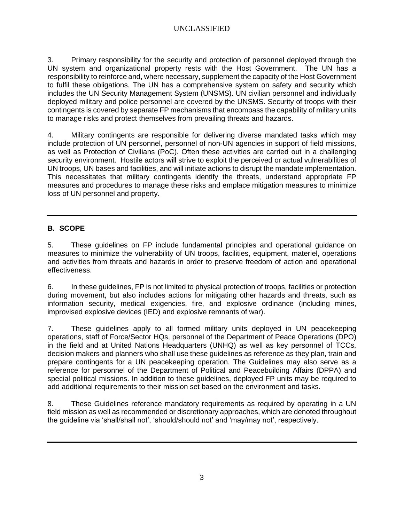3. Primary responsibility for the security and protection of personnel deployed through the UN system and organizational property rests with the Host Government. The UN has a responsibility to reinforce and, where necessary, supplement the capacity of the Host Government to fulfil these obligations. The UN has a comprehensive system on safety and security which includes the UN Security Management System (UNSMS). UN civilian personnel and individually deployed military and police personnel are covered by the UNSMS. Security of troops with their contingents is covered by separate FP mechanisms that encompass the capability of military units to manage risks and protect themselves from prevailing threats and hazards.

4. Military contingents are responsible for delivering diverse mandated tasks which may include protection of UN personnel, personnel of non-UN agencies in support of field missions, as well as Protection of Civilians (PoC). Often these activities are carried out in a challenging security environment. Hostile actors will strive to exploit the perceived or actual vulnerabilities of UN troops, UN bases and facilities, and will initiate actions to disrupt the mandate implementation. This necessitates that military contingents identify the threats, understand appropriate FP measures and procedures to manage these risks and emplace mitigation measures to minimize loss of UN personnel and property.

## **B. SCOPE**

5. These guidelines on FP include fundamental principles and operational guidance on measures to minimize the vulnerability of UN troops, facilities, equipment, materiel, operations and activities from threats and hazards in order to preserve freedom of action and operational effectiveness.

6. In these guidelines, FP is not limited to physical protection of troops, facilities or protection during movement, but also includes actions for mitigating other hazards and threats, such as information security, medical exigencies, fire, and explosive ordinance (including mines, improvised explosive devices (IED) and explosive remnants of war).

7. These guidelines apply to all formed military units deployed in UN peacekeeping operations, staff of Force/Sector HQs, personnel of the Department of Peace Operations (DPO) in the field and at United Nations Headquarters (UNHQ) as well as key personnel of TCCs, decision makers and planners who shall use these guidelines as reference as they plan, train and prepare contingents for a UN peacekeeping operation. The Guidelines may also serve as a reference for personnel of the Department of Political and Peacebuilding Affairs (DPPA) and special political missions. In addition to these guidelines, deployed FP units may be required to add additional requirements to their mission set based on the environment and tasks.

8. These Guidelines reference mandatory requirements as required by operating in a UN field mission as well as recommended or discretionary approaches, which are denoted throughout the guideline via 'shall/shall not', 'should/should not' and 'may/may not', respectively.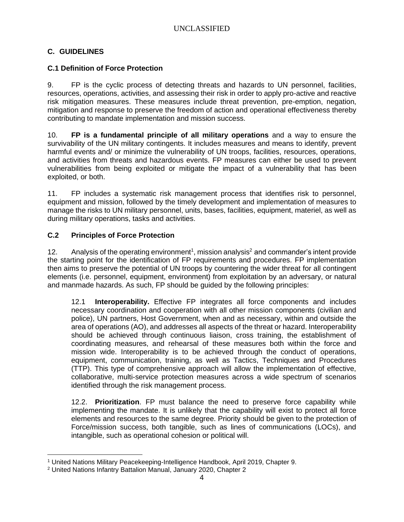## **C. GUIDELINES**

#### **C.1 Definition of Force Protection**

9. FP is the cyclic process of detecting threats and hazards to UN personnel, facilities, resources, operations, activities, and assessing their risk in order to apply pro-active and reactive risk mitigation measures. These measures include threat prevention, pre-emption, negation, mitigation and response to preserve the freedom of action and operational effectiveness thereby contributing to mandate implementation and mission success.

10. **FP is a fundamental principle of all military operations** and a way to ensure the survivability of the UN military contingents. It includes measures and means to identify, prevent harmful events and/ or minimize the vulnerability of UN troops, facilities, resources, operations, and activities from threats and hazardous events. FP measures can either be used to prevent vulnerabilities from being exploited or mitigate the impact of a vulnerability that has been exploited, or both.

11. FP includes a systematic risk management process that identifies risk to personnel, equipment and mission, followed by the timely development and implementation of measures to manage the risks to UN military personnel, units, bases, facilities, equipment, materiel, as well as during military operations, tasks and activities.

#### **C.2 Principles of Force Protection**

12. Analysis of the operating environment<sup>1</sup>, mission analysis<sup>2</sup> and commander's intent provide the starting point for the identification of FP requirements and procedures. FP implementation then aims to preserve the potential of UN troops by countering the wider threat for all contingent elements (i.e. personnel, equipment, environment) from exploitation by an adversary, or natural and manmade hazards. As such, FP should be guided by the following principles:

12.1 **Interoperability.** Effective FP integrates all force components and includes necessary coordination and cooperation with all other mission components (civilian and police), UN partners, Host Government, when and as necessary, within and outside the area of operations (AO), and addresses all aspects of the threat or hazard. Interoperability should be achieved through continuous liaison, cross training, the establishment of coordinating measures, and rehearsal of these measures both within the force and mission wide. Interoperability is to be achieved through the conduct of operations, equipment, communication, training, as well as Tactics, Techniques and Procedures (TTP). This type of comprehensive approach will allow the implementation of effective, collaborative, multi-service protection measures across a wide spectrum of scenarios identified through the risk management process.

12.2. **Prioritization**. FP must balance the need to preserve force capability while implementing the mandate. It is unlikely that the capability will exist to protect all force elements and resources to the same degree. Priority should be given to the protection of Force/mission success, both tangible, such as lines of communications (LOCs), and intangible, such as operational cohesion or political will.

<sup>1</sup> United Nations Military Peacekeeping-Intelligence Handbook, April 2019, Chapter 9.

<sup>2</sup> United Nations Infantry Battalion Manual, January 2020, Chapter 2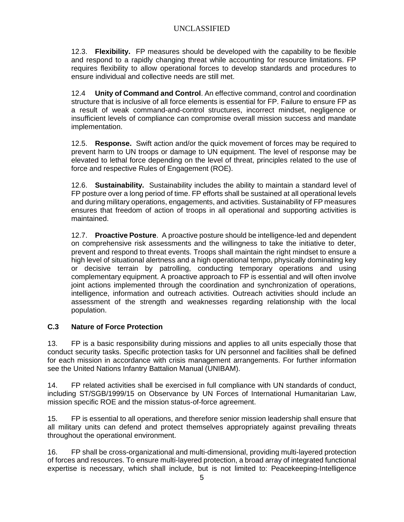12.3. **Flexibility.** FP measures should be developed with the capability to be flexible and respond to a rapidly changing threat while accounting for resource limitations. FP requires flexibility to allow operational forces to develop standards and procedures to ensure individual and collective needs are still met.

12.4 **Unity of Command and Control**. An effective command, control and coordination structure that is inclusive of all force elements is essential for FP. Failure to ensure FP as a result of weak command-and-control structures, incorrect mindset, negligence or insufficient levels of compliance can compromise overall mission success and mandate implementation.

12.5. **Response.** Swift action and/or the quick movement of forces may be required to prevent harm to UN troops or damage to UN equipment. The level of response may be elevated to lethal force depending on the level of threat, principles related to the use of force and respective Rules of Engagement (ROE).

12.6. **Sustainability.** Sustainability includes the ability to maintain a standard level of FP posture over a long period of time. FP efforts shall be sustained at all operational levels and during military operations, engagements, and activities. Sustainability of FP measures ensures that freedom of action of troops in all operational and supporting activities is maintained.

12.7. **Proactive Posture**. A proactive posture should be intelligence-led and dependent on comprehensive risk assessments and the willingness to take the initiative to deter, prevent and respond to threat events. Troops shall maintain the right mindset to ensure a high level of situational alertness and a high operational tempo, physically dominating key or decisive terrain by patrolling, conducting temporary operations and using complementary equipment. A proactive approach to FP is essential and will often involve joint actions implemented through the coordination and synchronization of operations, intelligence, information and outreach activities. Outreach activities should include an assessment of the strength and weaknesses regarding relationship with the local population.

## **C.3 Nature of Force Protection**

13. FP is a basic responsibility during missions and applies to all units especially those that conduct security tasks. Specific protection tasks for UN personnel and facilities shall be defined for each mission in accordance with crisis management arrangements. For further information see the United Nations Infantry Battalion Manual (UNIBAM).

14. FP related activities shall be exercised in full compliance with UN standards of conduct, including ST/SGB/1999/15 on Observance by UN Forces of International Humanitarian Law, mission specific ROE and the mission status-of-force agreement.

15. FP is essential to all operations, and therefore senior mission leadership shall ensure that all military units can defend and protect themselves appropriately against prevailing threats throughout the operational environment.

16. FP shall be cross-organizational and multi-dimensional, providing multi-layered protection of forces and resources. To ensure multi-layered protection, a broad array of integrated functional expertise is necessary, which shall include, but is not limited to: Peacekeeping-Intelligence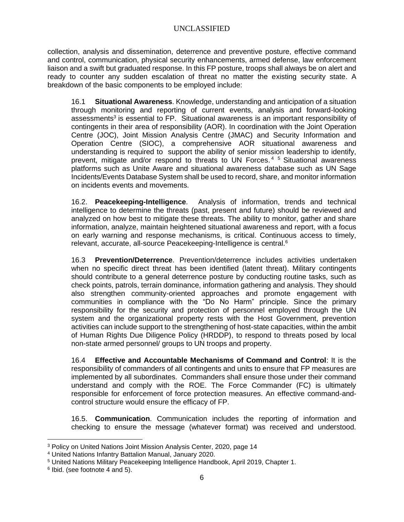collection, analysis and dissemination, deterrence and preventive posture, effective command and control, communication, physical security enhancements, armed defense, law enforcement liaison and a swift but graduated response. In this FP posture, troops shall always be on alert and ready to counter any sudden escalation of threat no matter the existing security state. A breakdown of the basic components to be employed include:

16.1 **Situational Awareness**. Knowledge, understanding and anticipation of a situation through monitoring and reporting of current events, analysis and forward-looking assessments<sup>3</sup> is essential to FP. Situational awareness is an important responsibility of contingents in their area of responsibility (AOR). In coordination with the Joint Operation Centre (JOC), Joint Mission Analysis Centre (JMAC) and Security Information and Operation Centre (SIOC), a comprehensive AOR situational awareness and understanding is required to support the ability of senior mission leadership to identify, prevent, mitigate and/or respond to threats to UN Forces. <sup>4</sup> <sup>5</sup> Situational awareness platforms such as Unite Aware and situational awareness database such as UN Sage Incidents/Events Database System shall be used to record, share, and monitor information on incidents events and movements.

16.2. **Peacekeeping-Intelligence**. Analysis of information, trends and technical intelligence to determine the threats (past, present and future) should be reviewed and analyzed on how best to mitigate these threats. The ability to monitor, gather and share information, analyze, maintain heightened situational awareness and report, with a focus on early warning and response mechanisms, is critical. Continuous access to timely, relevant, accurate, all-source Peacekeeping-Intelligence is central.<sup>6</sup>

16.3 **Prevention/Deterrence**. Prevention/deterrence includes activities undertaken when no specific direct threat has been identified (latent threat). Military contingents should contribute to a general deterrence posture by conducting routine tasks, such as check points, patrols, terrain dominance, information gathering and analysis. They should also strengthen community-oriented approaches and promote engagement with communities in compliance with the "Do No Harm" principle. Since the primary responsibility for the security and protection of personnel employed through the UN system and the organizational property rests with the Host Government, prevention activities can include support to the strengthening of host-state capacities, within the ambit of Human Rights Due Diligence Policy (HRDDP), to respond to threats posed by local non-state armed personnel/ groups to UN troops and property.

16.4 **Effective and Accountable Mechanisms of Command and Control**: It is the responsibility of commanders of all contingents and units to ensure that FP measures are implemented by all subordinates. Commanders shall ensure those under their command understand and comply with the ROE. The Force Commander (FC) is ultimately responsible for enforcement of force protection measures. An effective command-andcontrol structure would ensure the efficacy of FP.

16.5. **Communication**. Communication includes the reporting of information and checking to ensure the message (whatever format) was received and understood.

<sup>3</sup> Policy on United Nations Joint Mission Analysis Center, 2020, page 14

<sup>4</sup> United Nations Infantry Battalion Manual, January 2020.

<sup>5</sup> United Nations Military Peacekeeping Intelligence Handbook, April 2019, Chapter 1.

<sup>6</sup> Ibid. (see footnote 4 and 5).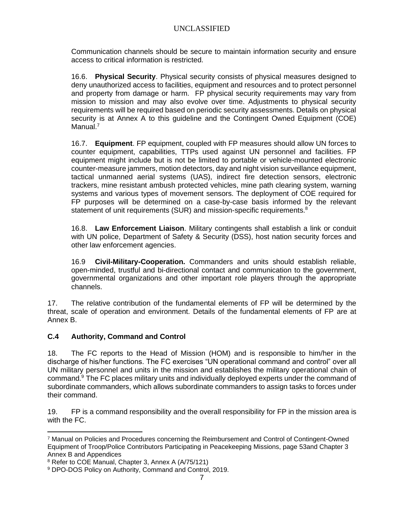Communication channels should be secure to maintain information security and ensure access to critical information is restricted.

16.6. **Physical Security**. Physical security consists of physical measures designed to deny unauthorized access to facilities, equipment and resources and to protect personnel and property from damage or harm. FP physical security requirements may vary from mission to mission and may also evolve over time. Adjustments to physical security requirements will be required based on periodic security assessments. Details on physical security is at Annex A to this guideline and the Contingent Owned Equipment (COE) Manual.<sup>7</sup>

16.7. **Equipment**. FP equipment, coupled with FP measures should allow UN forces to counter equipment, capabilities, TTPs used against UN personnel and facilities. FP equipment might include but is not be limited to portable or vehicle-mounted electronic counter-measure jammers, motion detectors, day and night vision surveillance equipment, tactical unmanned aerial systems (UAS), indirect fire detection sensors, electronic trackers, mine resistant ambush protected vehicles, mine path clearing system, warning systems and various types of movement sensors. The deployment of COE required for FP purposes will be determined on a case-by-case basis informed by the relevant statement of unit requirements (SUR) and mission-specific requirements.<sup>8</sup>

16.8. **Law Enforcement Liaison**. Military contingents shall establish a link or conduit with UN police, Department of Safety & Security (DSS), host nation security forces and other law enforcement agencies.

16.9 **Civil-Military-Cooperation.** Commanders and units should establish reliable, open-minded, trustful and bi-directional contact and communication to the government, governmental organizations and other important role players through the appropriate channels.

17. The relative contribution of the fundamental elements of FP will be determined by the threat, scale of operation and environment. Details of the fundamental elements of FP are at Annex B.

## **C.4 Authority, Command and Control**

18. The FC reports to the Head of Mission (HOM) and is responsible to him/her in the discharge of his/her functions. The FC exercises "UN operational command and control" over all UN military personnel and units in the mission and establishes the military operational chain of command.<sup>9</sup> The FC places military units and individually deployed experts under the command of subordinate commanders, which allows subordinate commanders to assign tasks to forces under their command.

19. FP is a command responsibility and the overall responsibility for FP in the mission area is with the FC.

<sup>7</sup> Manual on Policies and Procedures concerning the Reimbursement and Control of Contingent-Owned Equipment of Troop/Police Contributors Participating in Peacekeeping Missions, page 53and Chapter 3 Annex B and Appendices

<sup>8</sup> Refer to COE Manual, Chapter 3, Annex A (A/75/121)

<sup>9</sup> DPO-DOS Policy on Authority, Command and Control, 2019.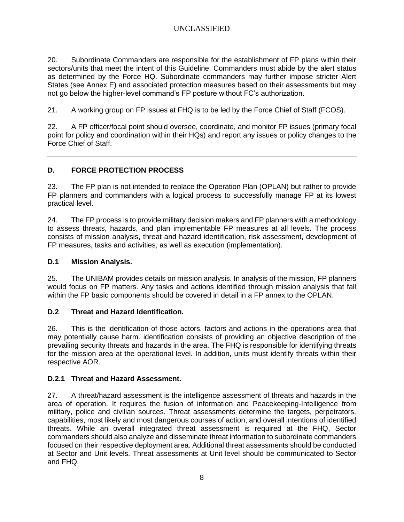20. Subordinate Commanders are responsible for the establishment of FP plans within their sectors/units that meet the intent of this Guideline. Commanders must abide by the alert status as determined by the Force HQ. Subordinate commanders may further impose stricter Alert States (see Annex E) and associated protection measures based on their assessments but may not go below the higher-level command's FP posture without FC's authorization.

21. A working group on FP issues at FHQ is to be led by the Force Chief of Staff (FCOS).

22. A FP officer/focal point should oversee, coordinate, and monitor FP issues (primary focal point for policy and coordination within their HQs) and report any issues or policy changes to the Force Chief of Staff.

## **D. FORCE PROTECTION PROCESS**

23. The FP plan is not intended to replace the Operation Plan (OPLAN) but rather to provide FP planners and commanders with a logical process to successfully manage FP at its lowest practical level.

24. The FP process is to provide military decision makers and FP planners with a methodology to assess threats, hazards, and plan implementable FP measures at all levels. The process consists of mission analysis, threat and hazard identification, risk assessment, development of FP measures, tasks and activities, as well as execution (implementation).

#### **D.1 Mission Analysis.**

25. The UNIBAM provides details on mission analysis. In analysis of the mission, FP planners would focus on FP matters. Any tasks and actions identified through mission analysis that fall within the FP basic components should be covered in detail in a FP annex to the OPLAN.

#### **D.2 Threat and Hazard Identification.**

26. This is the identification of those actors, factors and actions in the operations area that may potentially cause harm. identification consists of providing an objective description of the prevailing security threats and hazards in the area. The FHQ is responsible for identifying threats for the mission area at the operational level. In addition, units must identify threats within their respective AOR.

#### **D.2.1 Threat and Hazard Assessment.**

27. A threat/hazard assessment is the intelligence assessment of threats and hazards in the area of operation. It requires the fusion of information and Peacekeeping-Intelligence from military, police and civilian sources. Threat assessments determine the targets, perpetrators, capabilities, most likely and most dangerous courses of action, and overall intentions of identified threats. While an overall integrated threat assessment is required at the FHQ, Sector commanders should also analyze and disseminate threat information to subordinate commanders focused on their respective deployment area. Additional threat assessments should be conducted at Sector and Unit levels. Threat assessments at Unit level should be communicated to Sector and FHQ.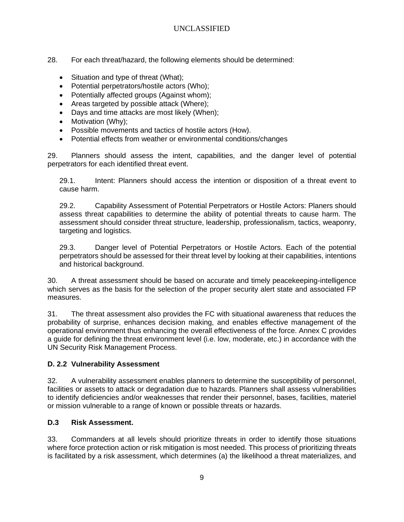- 28. For each threat/hazard, the following elements should be determined:
	- Situation and type of threat (What);
	- Potential perpetrators/hostile actors (Who);
	- Potentially affected groups (Against whom);
	- Areas targeted by possible attack (Where);
	- Days and time attacks are most likely (When);
	- Motivation (Why);
	- Possible movements and tactics of hostile actors (How).
	- Potential effects from weather or environmental conditions/changes

29. Planners should assess the intent, capabilities, and the danger level of potential perpetrators for each identified threat event.

29.1. Intent: Planners should access the intention or disposition of a threat event to cause harm.

29.2. Capability Assessment of Potential Perpetrators or Hostile Actors: Planers should assess threat capabilities to determine the ability of potential threats to cause harm. The assessment should consider threat structure, leadership, professionalism, tactics, weaponry, targeting and logistics.

29.3. Danger level of Potential Perpetrators or Hostile Actors. Each of the potential perpetrators should be assessed for their threat level by looking at their capabilities, intentions and historical background.

30. A threat assessment should be based on accurate and timely peacekeeping-intelligence which serves as the basis for the selection of the proper security alert state and associated FP measures.

31. The threat assessment also provides the FC with situational awareness that reduces the probability of surprise, enhances decision making, and enables effective management of the operational environment thus enhancing the overall effectiveness of the force. Annex C provides a guide for defining the threat environment level (i.e. low, moderate, etc.) in accordance with the UN Security Risk Management Process.

#### **D. 2.2 Vulnerability Assessment**

32. A vulnerability assessment enables planners to determine the susceptibility of personnel, facilities or assets to attack or degradation due to hazards. Planners shall assess vulnerabilities to identify deficiencies and/or weaknesses that render their personnel, bases, facilities, materiel or mission vulnerable to a range of known or possible threats or hazards.

#### **D.3 Risk Assessment.**

33. Commanders at all levels should prioritize threats in order to identify those situations where force protection action or risk mitigation is most needed. This process of prioritizing threats is facilitated by a risk assessment, which determines (a) the likelihood a threat materializes, and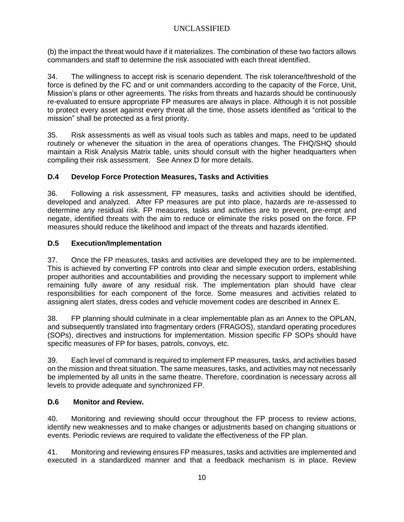(b) the impact the threat would have if it materializes. The combination of these two factors allows commanders and staff to determine the risk associated with each threat identified.

34. The willingness to accept risk is scenario dependent. The risk tolerance/threshold of the force is defined by the FC and or unit commanders according to the capacity of the Force, Unit, Mission's plans or other agreements. The risks from threats and hazards should be continuously re-evaluated to ensure appropriate FP measures are always in place. Although it is not possible to protect every asset against every threat all the time, those assets identified as "critical to the mission" shall be protected as a first priority.

35. Risk assessments as well as visual tools such as tables and maps, need to be updated routinely or whenever the situation in the area of operations changes. The FHQ/SHQ should maintain a Risk Analysis Matrix table, units should consult with the higher headquarters when compiling their risk assessment. See Annex D for more details.

## **D.4 Develop Force Protection Measures, Tasks and Activities**

36. Following a risk assessment, FP measures, tasks and activities should be identified, developed and analyzed. After FP measures are put into place, hazards are re-assessed to determine any residual risk. FP measures, tasks and activities are to prevent, pre-empt and negate, identified threats with the aim to reduce or eliminate the risks posed on the force. FP measures should reduce the likelihood and impact of the threats and hazards identified.

## **D.5 Execution/Implementation**

37. Once the FP measures, tasks and activities are developed they are to be implemented. This is achieved by converting FP controls into clear and simple execution orders, establishing proper authorities and accountabilities and providing the necessary support to implement while remaining fully aware of any residual risk. The implementation plan should have clear responsibilities for each component of the force. Some measures and activities related to assigning alert states, dress codes and vehicle movement codes are described in Annex E.

38. FP planning should culminate in a clear implementable plan as an Annex to the OPLAN, and subsequently translated into fragmentary orders (FRAGOS), standard operating procedures (SOPs), directives and instructions for implementation. Mission specific FP SOPs should have specific measures of FP for bases, patrols, convoys, etc.

39. Each level of command is required to implement FP measures, tasks, and activities based on the mission and threat situation. The same measures, tasks, and activities may not necessarily be implemented by all units in the same theatre. Therefore, coordination is necessary across all levels to provide adequate and synchronized FP.

## **D.6 Monitor and Review.**

40. Monitoring and reviewing should occur throughout the FP process to review actions, identify new weaknesses and to make changes or adjustments based on changing situations or events. Periodic reviews are required to validate the effectiveness of the FP plan.

41. Monitoring and reviewing ensures FP measures, tasks and activities are implemented and executed in a standardized manner and that a feedback mechanism is in place. Review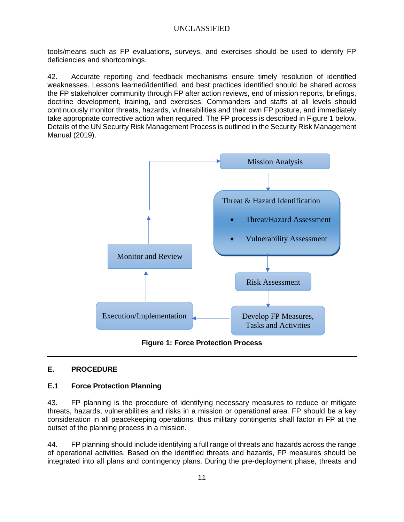tools/means such as FP evaluations, surveys, and exercises should be used to identify FP deficiencies and shortcomings.

42. Accurate reporting and feedback mechanisms ensure timely resolution of identified weaknesses. Lessons learned/identified, and best practices identified should be shared across the FP stakeholder community through FP after action reviews, end of mission reports, briefings, doctrine development, training, and exercises. Commanders and staffs at all levels should continuously monitor threats, hazards, vulnerabilities and their own FP posture, and immediately take appropriate corrective action when required. The FP process is described in Figure 1 below. Details of the UN Security Risk Management Process is outlined in the Security Risk Management Manual (2019).



**Figure 1: Force Protection Process**

## **E. PROCEDURE**

#### **E.1 Force Protection Planning**

43. FP planning is the procedure of identifying necessary measures to reduce or mitigate threats, hazards, vulnerabilities and risks in a mission or operational area. FP should be a key consideration in all peacekeeping operations, thus military contingents shall factor in FP at the outset of the planning process in a mission.

44. FP planning should include identifying a full range of threats and hazards across the range of operational activities. Based on the identified threats and hazards, FP measures should be integrated into all plans and contingency plans. During the pre-deployment phase, threats and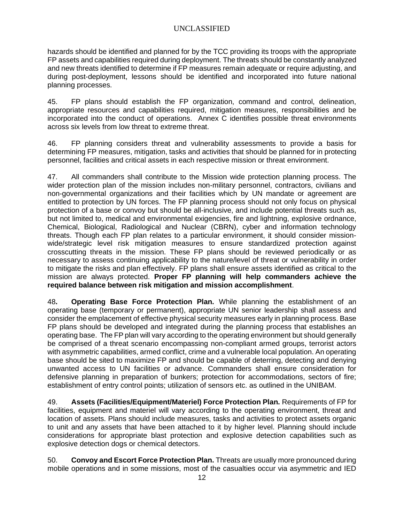hazards should be identified and planned for by the TCC providing its troops with the appropriate FP assets and capabilities required during deployment. The threats should be constantly analyzed and new threats identified to determine if FP measures remain adequate or require adjusting, and during post-deployment, lessons should be identified and incorporated into future national planning processes.

45. FP plans should establish the FP organization, command and control, delineation, appropriate resources and capabilities required, mitigation measures, responsibilities and be incorporated into the conduct of operations. Annex C identifies possible threat environments across six levels from low threat to extreme threat.

46. FP planning considers threat and vulnerability assessments to provide a basis for determining FP measures, mitigation, tasks and activities that should be planned for in protecting personnel, facilities and critical assets in each respective mission or threat environment.

47. All commanders shall contribute to the Mission wide protection planning process. The wider protection plan of the mission includes non-military personnel, contractors, civilians and non-governmental organizations and their facilities which by UN mandate or agreement are entitled to protection by UN forces. The FP planning process should not only focus on physical protection of a base or convoy but should be all-inclusive, and include potential threats such as, but not limited to, medical and environmental exigencies, fire and lightning, explosive ordnance, Chemical, Biological, Radiological and Nuclear (CBRN), cyber and information technology threats. Though each FP plan relates to a particular environment, it should consider missionwide/strategic level risk mitigation measures to ensure standardized protection against crosscutting threats in the mission. These FP plans should be reviewed periodically or as necessary to assess continuing applicability to the nature/level of threat or vulnerability in order to mitigate the risks and plan effectively. FP plans shall ensure assets identified as critical to the mission are always protected. **Proper FP planning will help commanders achieve the required balance between risk mitigation and mission accomplishment**.

48**. Operating Base Force Protection Plan.** While planning the establishment of an operating base (temporary or permanent), appropriate UN senior leadership shall assess and consider the emplacement of effective physical security measures early in planning process. Base FP plans should be developed and integrated during the planning process that establishes an operating base. The FP plan will vary according to the operating environment but should generally be comprised of a threat scenario encompassing non-compliant armed groups, terrorist actors with asymmetric capabilities, armed conflict, crime and a vulnerable local population. An operating base should be sited to maximize FP and should be capable of deterring, detecting and denying unwanted access to UN facilities or advance. Commanders shall ensure consideration for defensive planning in preparation of bunkers; protection for accommodations, sectors of fire; establishment of entry control points; utilization of sensors etc. as outlined in the UNIBAM.

49. **Assets (Facilities/Equipment/Materiel) Force Protection Plan.** Requirements of FP for facilities, equipment and materiel will vary according to the operating environment, threat and location of assets. Plans should include measures, tasks and activities to protect assets organic to unit and any assets that have been attached to it by higher level. Planning should include considerations for appropriate blast protection and explosive detection capabilities such as explosive detection dogs or chemical detectors.

50. **Convoy and Escort Force Protection Plan.** Threats are usually more pronounced during mobile operations and in some missions, most of the casualties occur via asymmetric and IED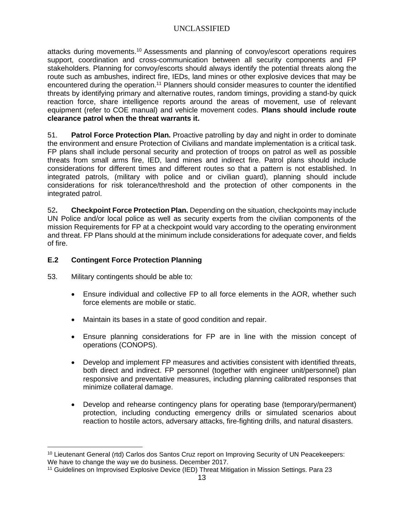attacks during movements.<sup>10</sup> Assessments and planning of convoy/escort operations requires support, coordination and cross-communication between all security components and FP stakeholders. Planning for convoy/escorts should always identify the potential threats along the route such as ambushes, indirect fire, IEDs, land mines or other explosive devices that may be encountered during the operation.<sup>11</sup> Planners should consider measures to counter the identified threats by identifying primary and alternative routes, random timings, providing a stand-by quick reaction force, share intelligence reports around the areas of movement, use of relevant equipment (refer to COE manual) and vehicle movement codes. **Plans should include route clearance patrol when the threat warrants it.**

51. **Patrol Force Protection Plan.** Proactive patrolling by day and night in order to dominate the environment and ensure Protection of Civilians and mandate implementation is a critical task. FP plans shall include personal security and protection of troops on patrol as well as possible threats from small arms fire, IED, land mines and indirect fire. Patrol plans should include considerations for different times and different routes so that a pattern is not established. In integrated patrols, (military with police and or civilian guard), planning should include considerations for risk tolerance/threshold and the protection of other components in the integrated patrol.

52**. Checkpoint Force Protection Plan.** Depending on the situation, checkpoints may include UN Police and/or local police as well as security experts from the civilian components of the mission Requirements for FP at a checkpoint would vary according to the operating environment and threat. FP Plans should at the minimum include considerations for adequate cover, and fields of fire.

## **E.2 Contingent Force Protection Planning**

- 53. Military contingents should be able to:
	- Ensure individual and collective FP to all force elements in the AOR, whether such force elements are mobile or static.
	- Maintain its bases in a state of good condition and repair.
	- Ensure planning considerations for FP are in line with the mission concept of operations (CONOPS).
	- Develop and implement FP measures and activities consistent with identified threats, both direct and indirect. FP personnel (together with engineer unit/personnel) plan responsive and preventative measures, including planning calibrated responses that minimize collateral damage.
	- Develop and rehearse contingency plans for operating base (temporary/permanent) protection, including conducting emergency drills or simulated scenarios about reaction to hostile actors, adversary attacks, fire-fighting drills, and natural disasters.

<sup>10</sup> Lieutenant General (rtd) Carlos dos Santos Cruz report on Improving Security of UN Peacekeepers: We have to change the way we do business. December 2017.

<sup>11</sup> Guidelines on Improvised Explosive Device (IED) Threat Mitigation in Mission Settings. Para 23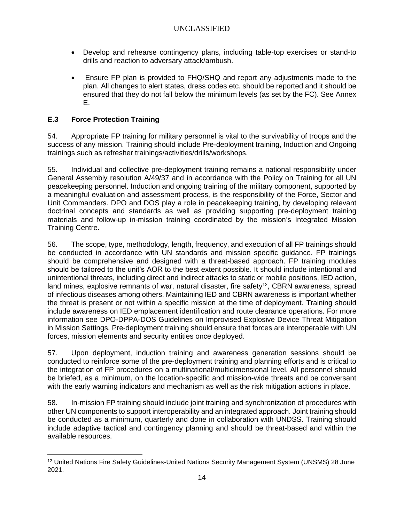- Develop and rehearse contingency plans, including table-top exercises or stand-to drills and reaction to adversary attack/ambush.
- Ensure FP plan is provided to FHQ/SHQ and report any adjustments made to the plan. All changes to alert states, dress codes etc. should be reported and it should be ensured that they do not fall below the minimum levels (as set by the FC). See Annex E.

## **E.3 Force Protection Training**

54. Appropriate FP training for military personnel is vital to the survivability of troops and the success of any mission. Training should include Pre-deployment training, Induction and Ongoing trainings such as refresher trainings/activities/drills/workshops.

55. Individual and collective pre-deployment training remains a national responsibility under General Assembly resolution A/49/37 and in accordance with the Policy on Training for all UN peacekeeping personnel. Induction and ongoing training of the military component, supported by a meaningful evaluation and assessment process, is the responsibility of the Force, Sector and Unit Commanders. DPO and DOS play a role in peacekeeping training, by developing relevant doctrinal concepts and standards as well as providing supporting pre-deployment training materials and follow-up in-mission training coordinated by the mission's Integrated Mission Training Centre.

56. The scope, type, methodology, length, frequency, and execution of all FP trainings should be conducted in accordance with UN standards and mission specific guidance. FP trainings should be comprehensive and designed with a threat-based approach. FP training modules should be tailored to the unit's AOR to the best extent possible. It should include intentional and unintentional threats, including direct and indirect attacks to static or mobile positions, IED action, land mines, explosive remnants of war, natural disaster, fire safety<sup>12</sup>, CBRN awareness, spread of infectious diseases among others. Maintaining IED and CBRN awareness is important whether the threat is present or not within a specific mission at the time of deployment. Training should include awareness on IED emplacement identification and route clearance operations. For more information see DPO-DPPA-DOS Guidelines on Improvised Explosive Device Threat Mitigation in Mission Settings. Pre-deployment training should ensure that forces are interoperable with UN forces, mission elements and security entities once deployed.

57. Upon deployment, induction training and awareness generation sessions should be conducted to reinforce some of the pre-deployment training and planning efforts and is critical to the integration of FP procedures on a multinational/multidimensional level. All personnel should be briefed, as a minimum, on the location-specific and mission-wide threats and be conversant with the early warning indicators and mechanism as well as the risk mitigation actions in place.

58. In-mission FP training should include joint training and synchronization of procedures with other UN components to support interoperability and an integrated approach. Joint training should be conducted as a minimum, quarterly and done in collaboration with UNDSS. Training should include adaptive tactical and contingency planning and should be threat-based and within the available resources.

<sup>12</sup> United Nations Fire Safety Guidelines-United Nations Security Management System (UNSMS) 28 June 2021.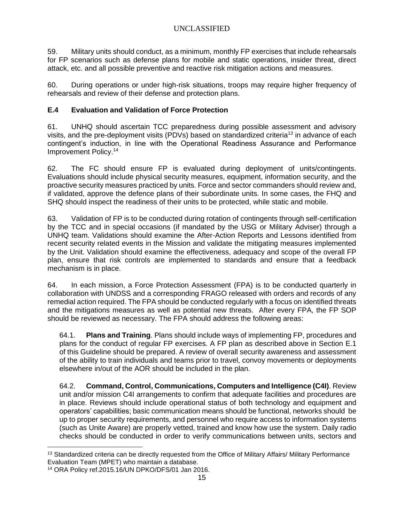59. Military units should conduct, as a minimum, monthly FP exercises that include rehearsals for FP scenarios such as defense plans for mobile and static operations, insider threat, direct attack, etc. and all possible preventive and reactive risk mitigation actions and measures.

60. During operations or under high-risk situations, troops may require higher frequency of rehearsals and review of their defense and protection plans.

## **E.4 Evaluation and Validation of Force Protection**

61. UNHQ should ascertain TCC preparedness during possible assessment and advisory visits, and the pre-deployment visits (PDVs) based on standardized criteria<sup>13</sup> in advance of each contingent's induction, in line with the Operational Readiness Assurance and Performance Improvement Policy.<sup>14</sup>

62. The FC should ensure FP is evaluated during deployment of units/contingents. Evaluations should include physical security measures, equipment, information security, and the proactive security measures practiced by units. Force and sector commanders should review and, if validated, approve the defence plans of their subordinate units. In some cases, the FHQ and SHQ should inspect the readiness of their units to be protected, while static and mobile.

63. Validation of FP is to be conducted during rotation of contingents through self-certification by the TCC and in special occasions (if mandated by the USG or Military Adviser) through a UNHQ team. Validations should examine the After-Action Reports and Lessons identified from recent security related events in the Mission and validate the mitigating measures implemented by the Unit. Validation should examine the effectiveness, adequacy and scope of the overall FP plan, ensure that risk controls are implemented to standards and ensure that a feedback mechanism is in place.

64. In each mission, a Force Protection Assessment (FPA) is to be conducted quarterly in collaboration with UNDSS and a corresponding FRAGO released with orders and records of any remedial action required. The FPA should be conducted regularly with a focus on identified threats and the mitigations measures as well as potential new threats. After every FPA, the FP SOP should be reviewed as necessary. The FPA should address the following areas:

64.1. **Plans and Training**. Plans should include ways of implementing FP, procedures and plans for the conduct of regular FP exercises. A FP plan as described above in Section E.1 of this Guideline should be prepared. A review of overall security awareness and assessment of the ability to train individuals and teams prior to travel, convoy movements or deployments elsewhere in/out of the AOR should be included in the plan.

64.2. **Command, Control, Communications, Computers and Intelligence (C4I)**. Review unit and/or mission C4I arrangements to confirm that adequate facilities and procedures are in place. Reviews should include operational status of both technology and equipment and operators' capabilities; basic communication means should be functional, networks should be up to proper security requirements, and personnel who require access to information systems (such as Unite Aware) are properly vetted, trained and know how use the system. Daily radio checks should be conducted in order to verify communications between units, sectors and

<sup>13</sup> Standardized criteria can be directly requested from the Office of Military Affairs/ Military Performance Evaluation Team (MPET) who maintain a database.

<sup>14</sup> ORA Policy ref.2015.16/UN DPKO/DFS/01 Jan 2016.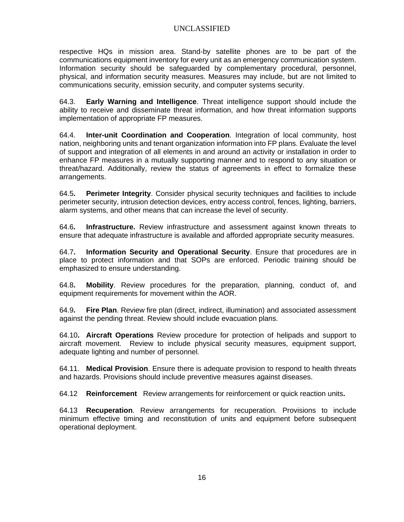respective HQs in mission area. Stand-by satellite phones are to be part of the communications equipment inventory for every unit as an emergency communication system. Information security should be safeguarded by complementary procedural, personnel, physical, and information security measures. Measures may include, but are not limited to communications security, emission security, and computer systems security.

64.3. **Early Warning and Intelligence**. Threat intelligence support should include the ability to receive and disseminate threat information, and how threat information supports implementation of appropriate FP measures.

64.4. **Inter-unit Coordination and Cooperation**. Integration of local community, host nation, neighboring units and tenant organization information into FP plans. Evaluate the level of support and integration of all elements in and around an activity or installation in order to enhance FP measures in a mutually supporting manner and to respond to any situation or threat/hazard. Additionally, review the status of agreements in effect to formalize these arrangements.

64.5**. Perimeter Integrity**. Consider physical security techniques and facilities to include perimeter security, intrusion detection devices, entry access control, fences, lighting, barriers, alarm systems, and other means that can increase the level of security.

64.6**. Infrastructure.** Review infrastructure and assessment against known threats to ensure that adequate infrastructure is available and afforded appropriate security measures.

64.7**. Information Security and Operational Security**. Ensure that procedures are in place to protect information and that SOPs are enforced. Periodic training should be emphasized to ensure understanding.

64.8**. Mobility**. Review procedures for the preparation, planning, conduct of, and equipment requirements for movement within the AOR.

64.9**. Fire Plan**. Review fire plan (direct, indirect, illumination) and associated assessment against the pending threat. Review should include evacuation plans.

64.10**. Aircraft Operations** Review procedure for protection of helipads and support to aircraft movement. Review to include physical security measures, equipment support, adequate lighting and number of personnel.

64.11. **Medical Provision**. Ensure there is adequate provision to respond to health threats and hazards. Provisions should include preventive measures against diseases.

64.12 **Reinforcement** Review arrangements for reinforcement or quick reaction units**.**

64.13 **Recuperation**. Review arrangements for recuperation. Provisions to include minimum effective timing and reconstitution of units and equipment before subsequent operational deployment.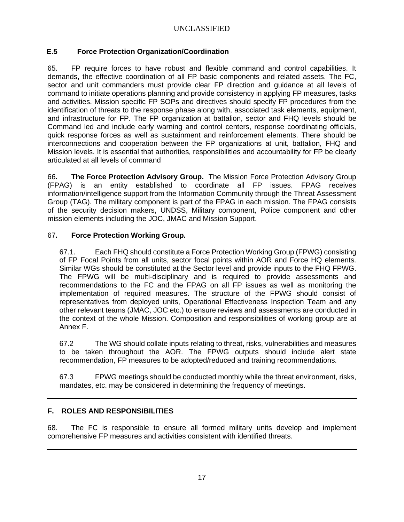## **E.5 Force Protection Organization/Coordination**

65. FP require forces to have robust and flexible command and control capabilities. It demands, the effective coordination of all FP basic components and related assets. The FC, sector and unit commanders must provide clear FP direction and guidance at all levels of command to initiate operations planning and provide consistency in applying FP measures, tasks and activities. Mission specific FP SOPs and directives should specify FP procedures from the identification of threats to the response phase along with, associated task elements, equipment, and infrastructure for FP. The FP organization at battalion, sector and FHQ levels should be Command led and include early warning and control centers, response coordinating officials, quick response forces as well as sustainment and reinforcement elements. There should be interconnections and cooperation between the FP organizations at unit, battalion, FHQ and Mission levels. It is essential that authorities, responsibilities and accountability for FP be clearly articulated at all levels of command

66**. The Force Protection Advisory Group.** The Mission Force Protection Advisory Group (FPAG) is an entity established to coordinate all FP issues. FPAG receives information/intelligence support from the Information Community through the Threat Assessment Group (TAG). The military component is part of the FPAG in each mission. The FPAG consists of the security decision makers, UNDSS, Military component, Police component and other mission elements including the JOC, JMAC and Mission Support.

## 67**. Force Protection Working Group.**

67.1. Each FHQ should constitute a Force Protection Working Group (FPWG) consisting of FP Focal Points from all units, sector focal points within AOR and Force HQ elements. Similar WGs should be constituted at the Sector level and provide inputs to the FHQ FPWG. The FPWG will be multi-disciplinary and is required to provide assessments and recommendations to the FC and the FPAG on all FP issues as well as monitoring the implementation of required measures. The structure of the FPWG should consist of representatives from deployed units, Operational Effectiveness Inspection Team and any other relevant teams (JMAC, JOC etc.) to ensure reviews and assessments are conducted in the context of the whole Mission. Composition and responsibilities of working group are at Annex F.

67.2 The WG should collate inputs relating to threat, risks, vulnerabilities and measures to be taken throughout the AOR. The FPWG outputs should include alert state recommendation, FP measures to be adopted/reduced and training recommendations.

67.3 FPWG meetings should be conducted monthly while the threat environment, risks, mandates, etc. may be considered in determining the frequency of meetings.

## **F. ROLES AND RESPONSIBILITIES**

68. The FC is responsible to ensure all formed military units develop and implement comprehensive FP measures and activities consistent with identified threats.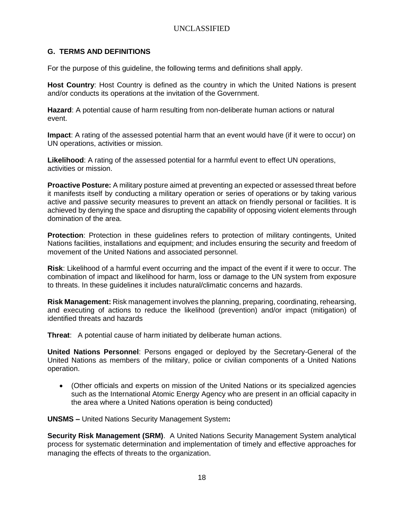#### **G. TERMS AND DEFINITIONS**

For the purpose of this guideline, the following terms and definitions shall apply.

**Host Country**: Host Country is defined as the country in which the United Nations is present and/or conducts its operations at the invitation of the Government.

**Hazard**: A potential cause of harm resulting from non-deliberate human actions or natural event.

**Impact**: A rating of the assessed potential harm that an event would have (if it were to occur) on UN operations, activities or mission.

**Likelihood**: A rating of the assessed potential for a harmful event to effect UN operations, activities or mission.

**Proactive Posture:** A military posture aimed at preventing an expected or assessed threat before it manifests itself by conducting a military operation or series of operations or by taking various active and passive security measures to prevent an attack on friendly personal or facilities. It is achieved by denying the space and disrupting the capability of opposing violent elements through domination of the area.

**Protection**: Protection in these guidelines refers to protection of military contingents, United Nations facilities, installations and equipment; and includes ensuring the security and freedom of movement of the United Nations and associated personnel.

**Risk**: Likelihood of a harmful event occurring and the impact of the event if it were to occur. The combination of impact and likelihood for harm, loss or damage to the UN system from exposure to threats. In these guidelines it includes natural/climatic concerns and hazards.

**Risk Management:** Risk management involves the planning, preparing, coordinating, rehearsing, and executing of actions to reduce the likelihood (prevention) and/or impact (mitigation) of identified threats and hazards

**Threat**: A potential cause of harm initiated by deliberate human actions.

**United Nations Personnel**: Persons engaged or deployed by the Secretary-General of the United Nations as members of the military, police or civilian components of a United Nations operation.

• (Other officials and experts on mission of the United Nations or its specialized agencies such as the International Atomic Energy Agency who are present in an official capacity in the area where a United Nations operation is being conducted)

**UNSMS –** United Nations Security Management System**:** 

**Security Risk Management (SRM)**. A United Nations Security Management System analytical process for systematic determination and implementation of timely and effective approaches for managing the effects of threats to the organization.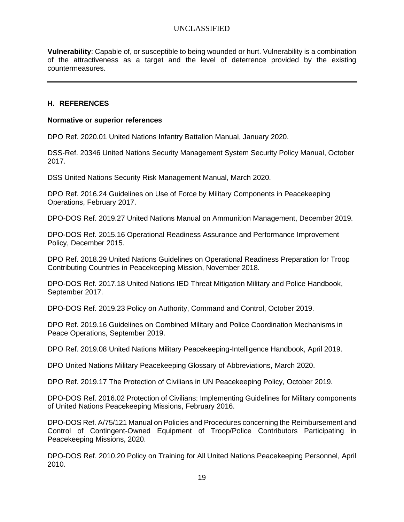**Vulnerability**: Capable of, or susceptible to being wounded or hurt. Vulnerability is a combination of the attractiveness as a target and the level of deterrence provided by the existing countermeasures.

#### **H. REFERENCES**

#### **Normative or superior references**

DPO Ref. 2020.01 United Nations Infantry Battalion Manual, January 2020.

DSS-Ref. 20346 United Nations Security Management System Security Policy Manual, October 2017.

DSS United Nations Security Risk Management Manual, March 2020.

DPO Ref. 2016.24 Guidelines on Use of Force by Military Components in Peacekeeping Operations, February 2017.

DPO-DOS Ref. 2019.27 United Nations Manual on Ammunition Management, December 2019.

DPO-DOS Ref. 2015.16 Operational Readiness Assurance and Performance Improvement Policy, December 2015.

DPO Ref. 2018.29 United Nations Guidelines on Operational Readiness Preparation for Troop Contributing Countries in Peacekeeping Mission, November 2018.

DPO-DOS Ref. 2017.18 United Nations IED Threat Mitigation Military and Police Handbook, September 2017.

DPO-DOS Ref. 2019.23 Policy on Authority, Command and Control, October 2019.

DPO Ref. 2019.16 Guidelines on Combined Military and Police Coordination Mechanisms in Peace Operations, September 2019.

DPO Ref. 2019.08 United Nations Military Peacekeeping-Intelligence Handbook, April 2019.

DPO United Nations Military Peacekeeping Glossary of Abbreviations, March 2020.

DPO Ref. 2019.17 The Protection of Civilians in UN Peacekeeping Policy, October 2019.

DPO-DOS Ref. 2016.02 Protection of Civilians: Implementing Guidelines for Military components of United Nations Peacekeeping Missions, February 2016.

DPO-DOS Ref. A/75/121 Manual on Policies and Procedures concerning the Reimbursement and Control of Contingent-Owned Equipment of Troop/Police Contributors Participating in Peacekeeping Missions, 2020.

DPO-DOS Ref. 2010.20 Policy on Training for All United Nations Peacekeeping Personnel, April 2010.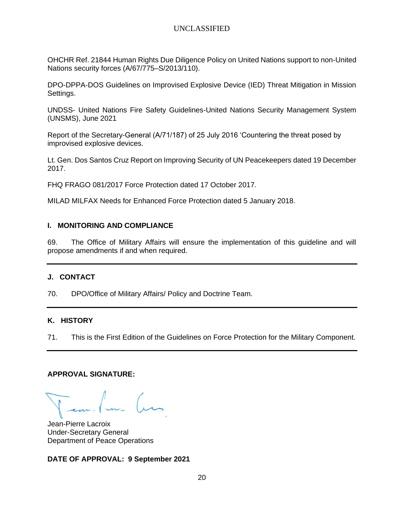OHCHR Ref. 21844 Human Rights Due Diligence Policy on United Nations support to non-United Nations security forces (A/67/775–S/2013/110).

DPO-DPPA-DOS Guidelines on Improvised Explosive Device (IED) Threat Mitigation in Mission Settings.

UNDSS- United Nations Fire Safety Guidelines-United Nations Security Management System (UNSMS), June 2021

Report of the Secretary-General (A/71/187) of 25 July 2016 'Countering the threat posed by improvised explosive devices.

Lt. Gen. Dos Santos Cruz Report on Improving Security of UN Peacekeepers dated 19 December 2017.

FHQ FRAGO 081/2017 Force Protection dated 17 October 2017.

MILAD MILFAX Needs for Enhanced Force Protection dated 5 January 2018.

#### **I. MONITORING AND COMPLIANCE**

69. The Office of Military Affairs will ensure the implementation of this guideline and will propose amendments if and when required.

#### **J. CONTACT**

70. DPO/Office of Military Affairs/ Policy and Doctrine Team.

#### **K. HISTORY**

71. This is the First Edition of the Guidelines on Force Protection for the Military Component.

#### **APPROVAL SIGNATURE:**

Jean-Pierre Lacroix Under-Secretary General Department of Peace Operations

**DATE OF APPROVAL: 9 September 2021**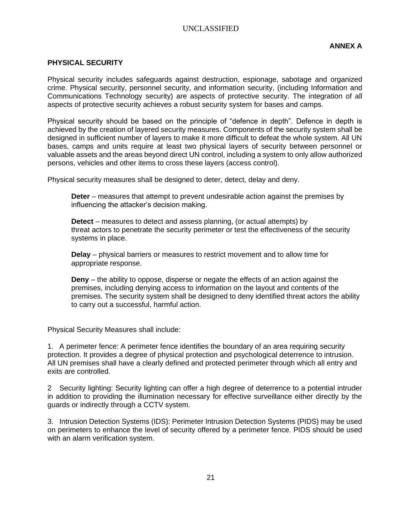#### **PHYSICAL SECURITY**

Physical security includes safeguards against destruction, espionage, sabotage and organized crime. Physical security, personnel security, and information security, (including Information and Communications Technology security) are aspects of protective security. The integration of all aspects of protective security achieves a robust security system for bases and camps.

Physical security should be based on the principle of "defence in depth". Defence in depth is achieved by the creation of layered security measures. Components of the security system shall be designed in sufficient number of layers to make it more difficult to defeat the whole system. All UN bases, camps and units require at least two physical layers of security between personnel or valuable assets and the areas beyond direct UN control, including a system to only allow authorized persons, vehicles and other items to cross these layers (access control).

Physical security measures shall be designed to deter, detect, delay and deny.

**Deter** – measures that attempt to prevent undesirable action against the premises by influencing the attacker's decision making.

**Detect** – measures to detect and assess planning, (or actual attempts) by threat actors to penetrate the security perimeter or test the effectiveness of the security systems in place.

**Delay** – physical barriers or measures to restrict movement and to allow time for appropriate response.

**Deny** – the ability to oppose, disperse or negate the effects of an action against the premises, including denying access to information on the layout and contents of the premises. The security system shall be designed to deny identified threat actors the ability to carry out a successful, harmful action.

Physical Security Measures shall include:

1. A perimeter fence: A perimeter fence identifies the boundary of an area requiring security protection. It provides a degree of physical protection and psychological deterrence to intrusion. All UN premises shall have a clearly defined and protected perimeter through which all entry and exits are controlled.

2 Security lighting: Security lighting can offer a high degree of deterrence to a potential intruder in addition to providing the illumination necessary for effective surveillance either directly by the guards or indirectly through a CCTV system.

3. Intrusion Detection Systems (IDS): Perimeter Intrusion Detection Systems (PIDS) may be used on perimeters to enhance the level of security offered by a perimeter fence. PIDS should be used with an alarm verification system.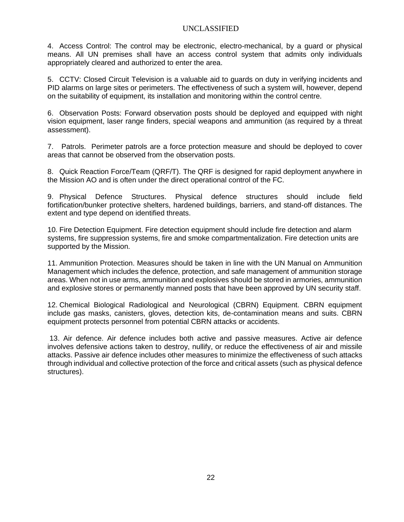4. Access Control: The control may be electronic, electro-mechanical, by a guard or physical means. All UN premises shall have an access control system that admits only individuals appropriately cleared and authorized to enter the area.

5. CCTV: Closed Circuit Television is a valuable aid to guards on duty in verifying incidents and PID alarms on large sites or perimeters. The effectiveness of such a system will, however, depend on the suitability of equipment, its installation and monitoring within the control centre.

6. Observation Posts: Forward observation posts should be deployed and equipped with night vision equipment, laser range finders, special weapons and ammunition (as required by a threat assessment).

7. Patrols. Perimeter patrols are a force protection measure and should be deployed to cover areas that cannot be observed from the observation posts.

8. Quick Reaction Force/Team (QRF/T). The QRF is designed for rapid deployment anywhere in the Mission AO and is often under the direct operational control of the FC.

9. Physical Defence Structures. Physical defence structures should include field fortification/bunker protective shelters, hardened buildings, barriers, and stand-off distances. The extent and type depend on identified threats.

10. Fire Detection Equipment. Fire detection equipment should include fire detection and alarm systems, fire suppression systems, fire and smoke compartmentalization. Fire detection units are supported by the Mission.

11. Ammunition Protection. Measures should be taken in line with the UN Manual on Ammunition Management which includes the defence, protection, and safe management of ammunition storage areas. When not in use arms, ammunition and explosives should be stored in armories, ammunition and explosive stores or permanently manned posts that have been approved by UN security staff.

12. Chemical Biological Radiological and Neurological (CBRN) Equipment. CBRN equipment include gas masks, canisters, gloves, detection kits, de-contamination means and suits. CBRN equipment protects personnel from potential CBRN attacks or accidents.

13. Air defence. Air defence includes both active and passive measures. Active air defence involves defensive actions taken to destroy, nullify, or reduce the effectiveness of air and missile attacks. Passive air defence includes other measures to minimize the effectiveness of such attacks through individual and collective protection of the force and critical assets (such as physical defence structures).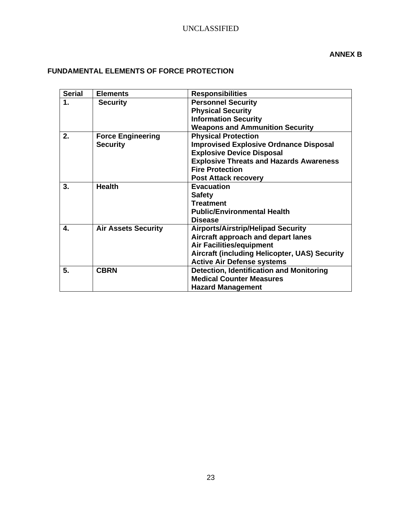## **FUNDAMENTAL ELEMENTS OF FORCE PROTECTION**

| <b>Serial</b> | <b>Elements</b>            | <b>Responsibilities</b>                         |
|---------------|----------------------------|-------------------------------------------------|
| 1.            | <b>Security</b>            | <b>Personnel Security</b>                       |
|               |                            | <b>Physical Security</b>                        |
|               |                            | <b>Information Security</b>                     |
|               |                            | <b>Weapons and Ammunition Security</b>          |
| 2.            | <b>Force Engineering</b>   | <b>Physical Protection</b>                      |
|               | <b>Security</b>            | <b>Improvised Explosive Ordnance Disposal</b>   |
|               |                            | <b>Explosive Device Disposal</b>                |
|               |                            | <b>Explosive Threats and Hazards Awareness</b>  |
|               |                            | <b>Fire Protection</b>                          |
|               |                            | <b>Post Attack recovery</b>                     |
| 3.            | <b>Health</b>              | <b>Evacuation</b>                               |
|               |                            | <b>Safety</b>                                   |
|               |                            | <b>Treatment</b>                                |
|               |                            | <b>Public/Environmental Health</b>              |
|               |                            | <b>Disease</b>                                  |
| 4.            | <b>Air Assets Security</b> | <b>Airports/Airstrip/Helipad Security</b>       |
|               |                            | Aircraft approach and depart lanes              |
|               |                            | <b>Air Facilities/equipment</b>                 |
|               |                            | Aircraft (including Helicopter, UAS) Security   |
|               |                            | <b>Active Air Defense systems</b>               |
| 5.            | <b>CBRN</b>                | <b>Detection, Identification and Monitoring</b> |
|               |                            | <b>Medical Counter Measures</b>                 |
|               |                            | <b>Hazard Management</b>                        |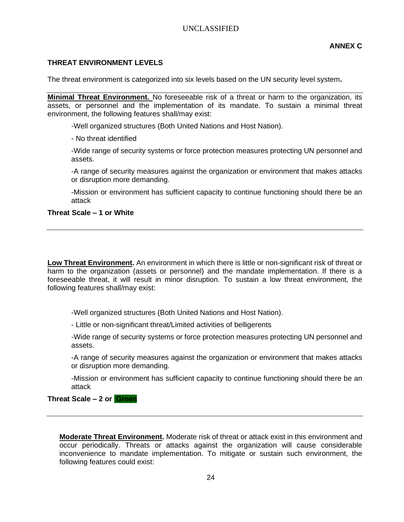#### **THREAT ENVIRONMENT LEVELS**

The threat environment is categorized into six levels based on the UN security level system**.** 

**Minimal Threat Environment.** No foreseeable risk of a threat or harm to the organization, its assets, or personnel and the implementation of its mandate. To sustain a minimal threat environment, the following features shall/may exist:

-Well organized structures (Both United Nations and Host Nation).

- No threat identified

-Wide range of security systems or force protection measures protecting UN personnel and assets.

-A range of security measures against the organization or environment that makes attacks or disruption more demanding.

-Mission or environment has sufficient capacity to continue functioning should there be an attack

#### **Threat Scale – 1 or White**

**Low Threat Environment.** An environment in which there is little or non-significant risk of threat or harm to the organization (assets or personnel) and the mandate implementation. If there is a foreseeable threat, it will result in minor disruption. To sustain a low threat environment, the following features shall/may exist:

-Well organized structures (Both United Nations and Host Nation).

- Little or non-significant threat/Limited activities of belligerents

-Wide range of security systems or force protection measures protecting UN personnel and assets.

-A range of security measures against the organization or environment that makes attacks or disruption more demanding.

-Mission or environment has sufficient capacity to continue functioning should there be an attack

#### **Threat Scale – 2 or Green**

**Moderate Threat Environment.** Moderate risk of threat or attack exist in this environment and occur periodically. Threats or attacks against the organization will cause considerable inconvenience to mandate implementation. To mitigate or sustain such environment, the following features could exist: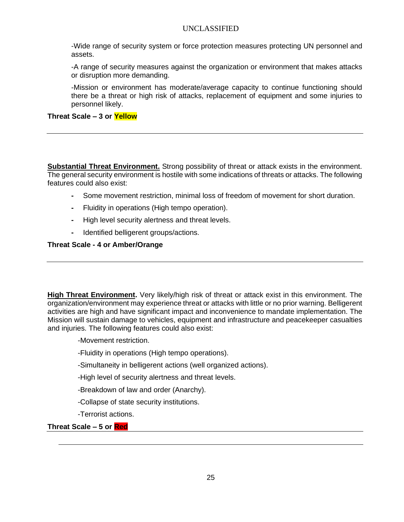-Wide range of security system or force protection measures protecting UN personnel and assets.

-A range of security measures against the organization or environment that makes attacks or disruption more demanding.

-Mission or environment has moderate/average capacity to continue functioning should there be a threat or high risk of attacks, replacement of equipment and some injuries to personnel likely.

#### **Threat Scale – 3 or Yellow**

**Substantial Threat Environment.** Strong possibility of threat or attack exists in the environment. The general security environment is hostile with some indications of threats or attacks. The following features could also exist:

- **-** Some movement restriction, minimal loss of freedom of movement for short duration.
- **-** Fluidity in operations (High tempo operation).
- **-** High level security alertness and threat levels.
- **-** Identified belligerent groups/actions.

#### **Threat Scale - 4 or Amber/Orange**

**High Threat Environment.** Very likely/high risk of threat or attack exist in this environment. The organization/environment may experience threat or attacks with little or no prior warning. Belligerent activities are high and have significant impact and inconvenience to mandate implementation. The Mission will sustain damage to vehicles, equipment and infrastructure and peacekeeper casualties and injuries. The following features could also exist:

-Movement restriction.

- -Fluidity in operations (High tempo operations).
- -Simultaneity in belligerent actions (well organized actions).
- -High level of security alertness and threat levels.
- -Breakdown of law and order (Anarchy).
- -Collapse of state security institutions.
- -Terrorist actions.

#### **Threat Scale – 5 or Red**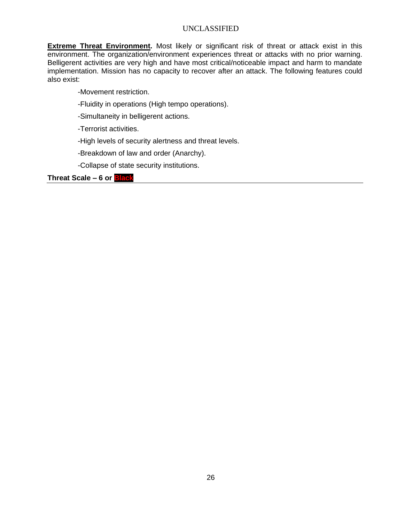**Extreme Threat Environment.** Most likely or significant risk of threat or attack exist in this environment. The organization/environment experiences threat or attacks with no prior warning. Belligerent activities are very high and have most critical/noticeable impact and harm to mandate implementation. Mission has no capacity to recover after an attack. The following features could also exist:

-Movement restriction.

- -Fluidity in operations (High tempo operations).
- -Simultaneity in belligerent actions.

-Terrorist activities.

- -High levels of security alertness and threat levels.
- -Breakdown of law and order (Anarchy).
- -Collapse of state security institutions.

**Threat Scale – 6 or Black**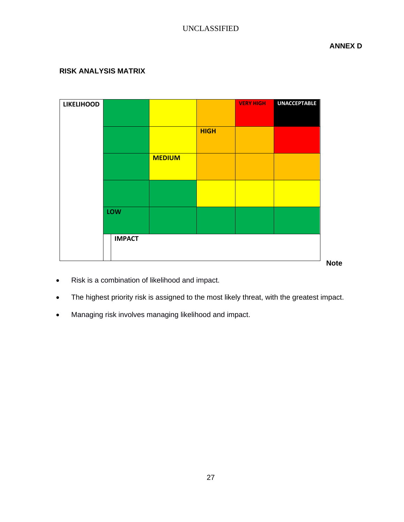**ANNEX D**

## **RISK ANALYSIS MATRIX**

| <b>LIKELIHOOD</b> |               |               |             | <b>VERY HIGH</b> | <b>UNACCEPTABLE</b> |             |
|-------------------|---------------|---------------|-------------|------------------|---------------------|-------------|
|                   |               |               |             |                  |                     |             |
|                   |               |               | <b>HIGH</b> |                  |                     |             |
|                   |               |               |             |                  |                     |             |
|                   |               | <b>MEDIUM</b> |             |                  |                     |             |
|                   |               |               |             |                  |                     |             |
|                   |               |               |             |                  |                     |             |
|                   |               |               |             |                  |                     |             |
|                   | LOW           |               |             |                  |                     |             |
|                   |               |               |             |                  |                     |             |
|                   | <b>IMPACT</b> |               |             |                  |                     |             |
|                   |               |               |             |                  |                     |             |
|                   |               |               |             |                  |                     | <b>Note</b> |

- Risk is a combination of likelihood and impact.
- The highest priority risk is assigned to the most likely threat, with the greatest impact.
- Managing risk involves managing likelihood and impact.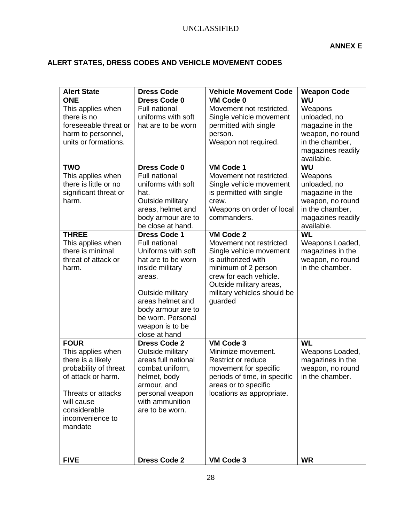## **ALERT STATES, DRESS CODES AND VEHICLE MOVEMENT CODES**

| <b>Alert State</b>                                                                                                                                                                      | <b>Dress Code</b>                                                                                                                                                                                                                           | <b>Vehicle Movement Code</b>                                                                                                                                                                                 | <b>Weapon Code</b>                                                                                                                |
|-----------------------------------------------------------------------------------------------------------------------------------------------------------------------------------------|---------------------------------------------------------------------------------------------------------------------------------------------------------------------------------------------------------------------------------------------|--------------------------------------------------------------------------------------------------------------------------------------------------------------------------------------------------------------|-----------------------------------------------------------------------------------------------------------------------------------|
| <b>ONE</b><br>This applies when<br>there is no<br>foreseeable threat or<br>harm to personnel,<br>units or formations.                                                                   | <b>Dress Code 0</b><br><b>Full national</b><br>uniforms with soft<br>hat are to be worn                                                                                                                                                     | VM Code 0<br>Movement not restricted.<br>Single vehicle movement<br>permitted with single<br>person.<br>Weapon not required.                                                                                 | WU<br>Weapons<br>unloaded, no<br>magazine in the<br>weapon, no round<br>in the chamber,<br>magazines readily<br>available.        |
| <b>TWO</b><br>This applies when<br>there is little or no<br>significant threat or<br>harm.                                                                                              | <b>Dress Code 0</b><br><b>Full national</b><br>uniforms with soft<br>hat.<br>Outside military<br>areas, helmet and<br>body armour are to<br>be close at hand.                                                                               | <b>VM Code 1</b><br>Movement not restricted.<br>Single vehicle movement<br>is permitted with single<br>crew.<br>Weapons on order of local<br>commanders.                                                     | <b>WU</b><br>Weapons<br>unloaded, no<br>magazine in the<br>weapon, no round<br>in the chamber,<br>magazines readily<br>available. |
| <b>THREE</b><br>This applies when<br>there is minimal<br>threat of attack or<br>harm.                                                                                                   | <b>Dress Code 1</b><br><b>Full national</b><br>Uniforms with soft<br>hat are to be worn<br>inside military<br>areas.<br>Outside military<br>areas helmet and<br>body armour are to<br>be worn. Personal<br>weapon is to be<br>close at hand | VM Code 2<br>Movement not restricted.<br>Single vehicle movement<br>is authorized with<br>minimum of 2 person<br>crew for each vehicle.<br>Outside military areas,<br>military vehicles should be<br>guarded | <b>WL</b><br>Weapons Loaded,<br>magazines in the<br>weapon, no round<br>in the chamber.                                           |
| <b>FOUR</b><br>This applies when<br>there is a likely<br>probability of threat<br>of attack or harm.<br>Threats or attacks<br>will cause<br>considerable<br>inconvenience to<br>mandate | <b>Dress Code 2</b><br>Outside military<br>areas full national<br>combat uniform,<br>helmet, body<br>armour, and<br>personal weapon<br>with ammunition<br>are to be worn.                                                                   | VM Code 3<br>Minimize movement.<br><b>Restrict or reduce</b><br>movement for specific<br>periods of time, in specific<br>areas or to specific<br>locations as appropriate.                                   | <b>WL</b><br>Weapons Loaded,<br>magazines in the<br>weapon, no round<br>in the chamber.                                           |
| <b>FIVE</b>                                                                                                                                                                             | <b>Dress Code 2</b>                                                                                                                                                                                                                         | VM Code 3                                                                                                                                                                                                    | <b>WR</b>                                                                                                                         |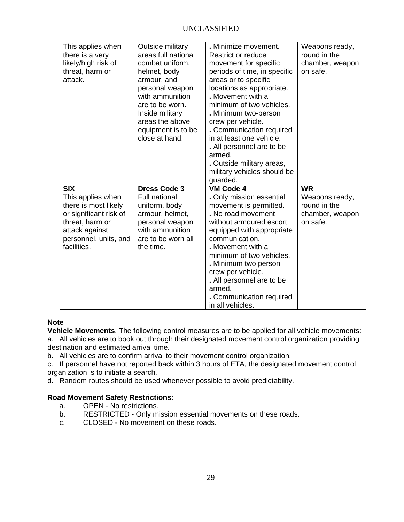| This applies when<br>there is a very<br>likely/high risk of<br>threat, harm or<br>attack.                                                                      | Outside military<br>areas full national<br>combat uniform,<br>helmet, body<br>armour, and<br>personal weapon<br>with ammunition<br>are to be worn.<br>Inside military<br>areas the above<br>equipment is to be<br>close at hand. | . Minimize movement.<br><b>Restrict or reduce</b><br>movement for specific<br>periods of time, in specific<br>areas or to specific<br>locations as appropriate.<br>. Movement with a<br>minimum of two vehicles.<br>. Minimum two-person<br>crew per vehicle.<br>. Communication required<br>in at least one vehicle.<br>. All personnel are to be<br>armed.<br>. Outside military areas,<br>military vehicles should be<br>guarded. | Weapons ready,<br>round in the<br>chamber, weapon<br>on safe.              |
|----------------------------------------------------------------------------------------------------------------------------------------------------------------|----------------------------------------------------------------------------------------------------------------------------------------------------------------------------------------------------------------------------------|--------------------------------------------------------------------------------------------------------------------------------------------------------------------------------------------------------------------------------------------------------------------------------------------------------------------------------------------------------------------------------------------------------------------------------------|----------------------------------------------------------------------------|
| <b>SIX</b><br>This applies when<br>there is most likely<br>or significant risk of<br>threat, harm or<br>attack against<br>personnel, units, and<br>facilities. | <b>Dress Code 3</b><br><b>Full national</b><br>uniform, body<br>armour, helmet,<br>personal weapon<br>with ammunition<br>are to be worn all<br>the time.                                                                         | <b>VM Code 4</b><br>. Only mission essential<br>movement is permitted.<br>. No road movement<br>without armoured escort<br>equipped with appropriate<br>communication.<br>. Movement with a<br>minimum of two vehicles,<br>. Minimum two person<br>crew per vehicle.<br>. All personnel are to be<br>armed.<br>. Communication required<br>in all vehicles.                                                                          | <b>WR</b><br>Weapons ready,<br>round in the<br>chamber, weapon<br>on safe. |

#### **Note**

**Vehicle Movements**. The following control measures are to be applied for all vehicle movements:

a. All vehicles are to book out through their designated movement control organization providing destination and estimated arrival time.

b. All vehicles are to confirm arrival to their movement control organization.

c. If personnel have not reported back within 3 hours of ETA, the designated movement control organization is to initiate a search.

d. Random routes should be used whenever possible to avoid predictability.

#### **Road Movement Safety Restrictions**:

- a. OPEN No restrictions.
- b. RESTRICTED Only mission essential movements on these roads.
- c. CLOSED No movement on these roads.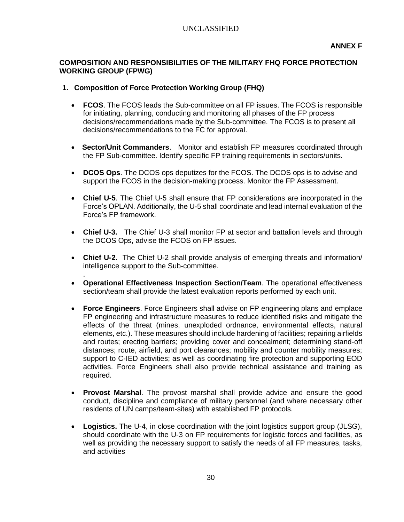## **COMPOSITION AND RESPONSIBILITIES OF THE MILITARY FHQ FORCE PROTECTION WORKING GROUP (FPWG)**

#### **1. Composition of Force Protection Working Group (FHQ)**

.

- **FCOS**. The FCOS leads the Sub-committee on all FP issues. The FCOS is responsible for initiating, planning, conducting and monitoring all phases of the FP process decisions/recommendations made by the Sub-committee. The FCOS is to present all decisions/recommendations to the FC for approval.
- **Sector/Unit Commanders**. Monitor and establish FP measures coordinated through the FP Sub-committee. Identify specific FP training requirements in sectors/units.
- **DCOS Ops**. The DCOS ops deputizes for the FCOS. The DCOS ops is to advise and support the FCOS in the decision-making process. Monitor the FP Assessment.
- **Chief U-5**. The Chief U-5 shall ensure that FP considerations are incorporated in the Force's OPLAN. Additionally, the U-5 shall coordinate and lead internal evaluation of the Force's FP framework.
- **Chief U-3.** The Chief U-3 shall monitor FP at sector and battalion levels and through the DCOS Ops, advise the FCOS on FP issues.
- **Chief U-2**. The Chief U-2 shall provide analysis of emerging threats and information/ intelligence support to the Sub-committee.
- **Operational Effectiveness Inspection Section/Team**. The operational effectiveness section/team shall provide the latest evaluation reports performed by each unit.
- **Force Engineers**. Force Engineers shall advise on FP engineering plans and emplace FP engineering and infrastructure measures to reduce identified risks and mitigate the effects of the threat (mines, unexploded ordnance, environmental effects, natural elements, etc.). These measures should include hardening of facilities; repairing airfields and routes; erecting barriers; providing cover and concealment; determining stand-off distances; route, airfield, and port clearances; mobility and counter mobility measures; support to C-IED activities; as well as coordinating fire protection and supporting EOD activities. Force Engineers shall also provide technical assistance and training as required.
- **Provost Marshal**. The provost marshal shall provide advice and ensure the good conduct, discipline and compliance of military personnel (and where necessary other residents of UN camps/team-sites) with established FP protocols.
- **Logistics.** The U-4, in close coordination with the joint logistics support group (JLSG), should coordinate with the U-3 on FP requirements for logistic forces and facilities, as well as providing the necessary support to satisfy the needs of all FP measures, tasks, and activities